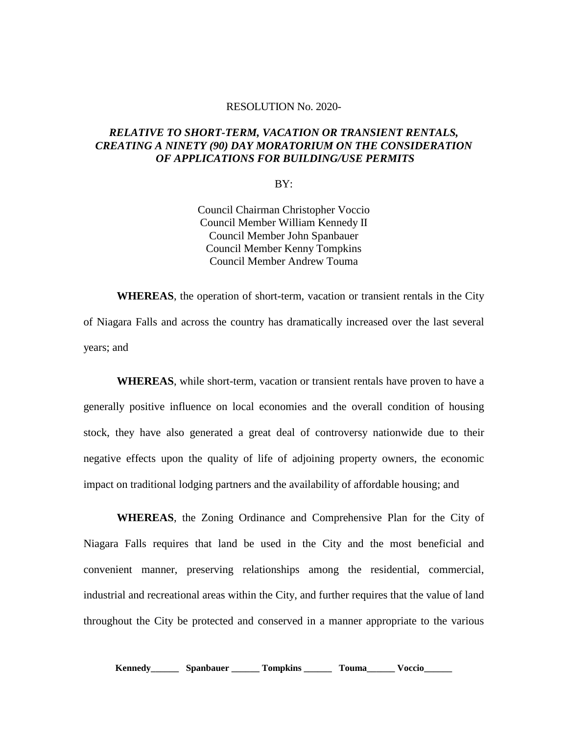## RESOLUTION No. 2020-

## *RELATIVE TO SHORT-TERM, VACATION OR TRANSIENT RENTALS, CREATING A NINETY (90) DAY MORATORIUM ON THE CONSIDERATION OF APPLICATIONS FOR BUILDING/USE PERMITS*

BY:

Council Chairman Christopher Voccio Council Member William Kennedy II Council Member John Spanbauer Council Member Kenny Tompkins Council Member Andrew Touma

**WHEREAS**, the operation of short-term, vacation or transient rentals in the City of Niagara Falls and across the country has dramatically increased over the last several years; and

**WHEREAS**, while short-term, vacation or transient rentals have proven to have a generally positive influence on local economies and the overall condition of housing stock, they have also generated a great deal of controversy nationwide due to their negative effects upon the quality of life of adjoining property owners, the economic impact on traditional lodging partners and the availability of affordable housing; and

**WHEREAS**, the Zoning Ordinance and Comprehensive Plan for the City of Niagara Falls requires that land be used in the City and the most beneficial and convenient manner, preserving relationships among the residential, commercial, industrial and recreational areas within the City, and further requires that the value of land throughout the City be protected and conserved in a manner appropriate to the various

**Kennedy\_\_\_\_\_\_ Spanbauer \_\_\_\_\_\_ Tompkins \_\_\_\_\_\_ Touma\_\_\_\_\_\_ Voccio\_\_\_\_\_\_**